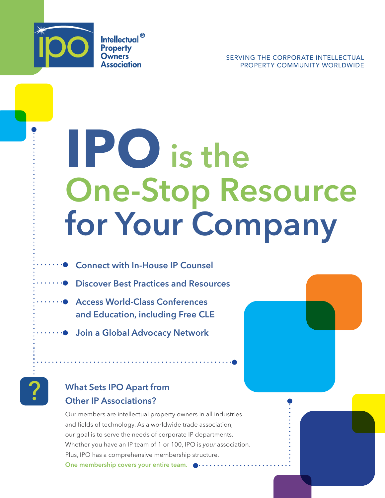

**Intellectual**<sup>®</sup> **Property Owners** Association

SERVING THE CORPORATE INTELLECTUAL PROPERTY COMMUNITY WORLDWIDE

# **IPO** is the One-Stop Resource for Your Company

- Connect with In-House IP Counsel
- **Discover Best Practices and Resources** 
	- Access World-Class Conferences and Education, including Free CLE
- ······ Join a Global Advocacy Network



## What Sets IPO Apart from Other IP Associations?

Our members are intellectual property owners in all industries and fields of technology. As a worldwide trade association, our goal is to serve the needs of corporate IP departments. Whether you have an IP team of 1 or 100, IPO is *your* association. Plus, IPO has a comprehensive membership structure. One membership covers your entire team.  $\bullet \cdots \cdots$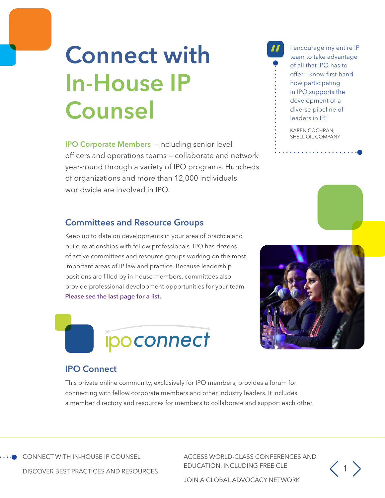# **Connect with** In-House IP Counsel

IPO Corporate Members — including senior level officers and operations teams — collaborate and network year-round through a variety of IPO programs. Hundreds of organizations and more than 12,000 individuals worldwide are involved in IPO.

### Committees and Resource Groups

Keep up to date on developments in your area of practice and build relationships with fellow professionals. IPO has dozens of active committees and resource groups working on the most important areas of IP law and practice. Because leadership positions are filled by in-house members, committees also provide professional development opportunities for your team. [Please see the last page for a list.](#page-7-0) 





KAREN COCHRAN, SHELL OIL COMPANY



### IPO Connect

This private online community, exclusively for IPO members, provides a forum for connecting with fellow corporate members and other industry leaders. It includes a member directory and resources for members to collaborate and support each other.

CONNECT WITH IN-HOUSE IP COUNSEL

ACCESS WORLD-CLASS CONFERENCES AND EDUCATION, INCLUDING FREE CLE



DISCOVER BEST PRACTICES AND RESOURCES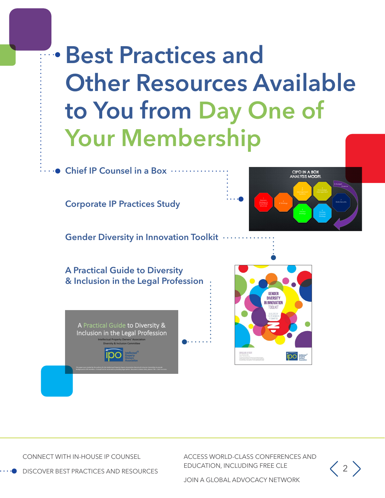# Best Practices and **Other Resources Available** to You from Day One of Your Membership

 $\bullet$  Chief IP Counsel in a Box  $\cdots$ 

Corporate IP Practices Study

CIPO IN A BOX<br>ANALYSIS MODEL 8. Budget Business IP Strategy Corporate Structure

Gender Diversity in Innovation Toolkit

A Practical Guide to Diversity & Inclusion in the Legal Profession





CONNECT WITH IN-HOUSE IP COUNSEL

ACCESS WORLD-CLASS CONFERENCES AND EDUCATION, INCLUDING FREE CLE



DISCOVER BEST PRACTICES AND RESOURCES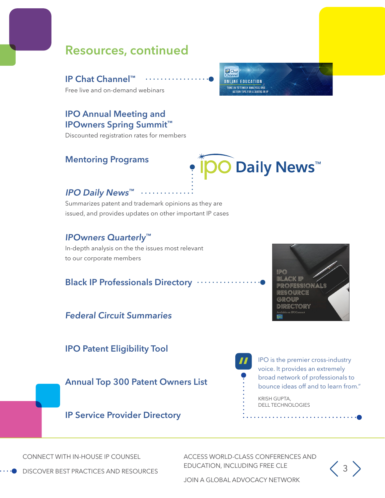# Resources, continued

IP Chat Channel™ Free live and on-demand webinars

### IPO Annual Meeting and IPOwners Spring Summit™

Discounted registration rates for members

### Mentoring Programs

**P** Chat<br>Channel **ONLINE EDUCATION** .<br>TUNE IN TO TIMELY ANALYSIS AND<br>Action tips for Leaders In II



### IPO Daily News™

Summarizes patent and trademark opinions as they are issued, and provides updates on other important IP cases

### IPOwners Quarterly™

In-depth analysis on the the issues most relevant to our corporate members

### Black IP Professionals Directory .

### Federal Circuit Summaries

IPO Patent Eligibility Tool

Annual Top 300 Patent Owners List



 $\frac{11}{9}$ IPO is the premier cross-industry voice. It provides an extremely broad network of professionals to bounce ideas off and to learn from."

> KRISH GUPTA, DELL TECHNOLOGIES

### IP Service Provider Directory

CONNECT WITH IN-HOUSE IP COUNSEL

ACCESS WORLD-CLASS CONFERENCES AND EDUCATION, INCLUDING FREE CLE



DISCOVER BEST PRACTICES AND RESOURCES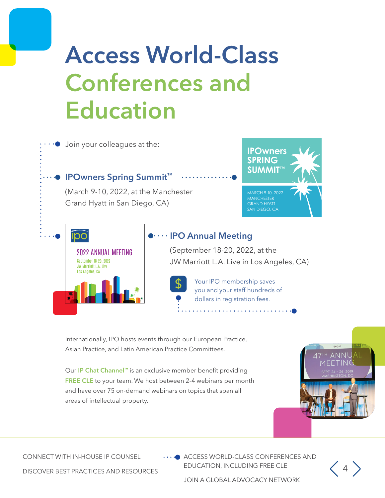# Access World-Class Conferences and Education



Internationally, IPO hosts events through our European Practice, Asian Practice, and Latin American Practice Committees.

Our IP Chat Channel™ is an exclusive member benefit providing FREE CLE to your team. We host between 2-4 webinars per month and have over 75 on-demand webinars on topics that span all areas of intellectual property.



CONNECT WITH IN-HOUSE IP COUNSEL

ACCESS WORLD-CLASS CONFERENCES AND EDUCATION, INCLUDING FREE CLE

 $\langle 4 \rangle$ 

DISCOVER BEST PRACTICES AND RESOURCES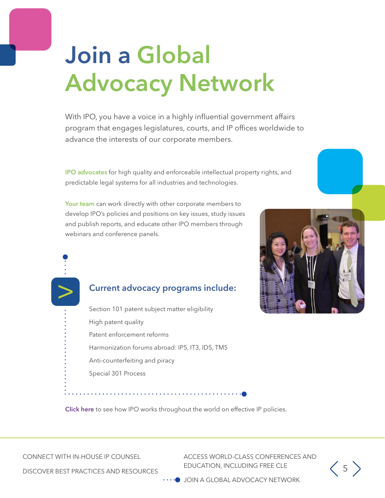# Join a Global Advocacy Network

With IPO, you have a voice in a highly influential government affairs program that engages legislatures, courts, and IP offices worldwide to advance the interests of our corporate members.

IPO advocates for high quality and enforceable intellectual property rights, and predictable legal systems for all industries and technologies.

Your team can work directly with other corporate members to develop IPO's policies and positions on key issues, study issues and publish reports, and educate other IPO members through webinars and conference panels.

### Current advocacy programs include:

Section 101 patent subject matter eligibility High patent quality Patent enforcement reforms Harmonization forums abroad: IP5, IT3, ID5, TM5 Anti-counterfeiting and piracy Special 301 Process



[Click here](https://ipo.org/index.php/international/) to see how IPO works throughout the world on effective IP policies.

CONNECT WITH IN-HOUSE IP COUNSEL

>

ACCESS WORLD-CLASS CONFERENCES AND EDUCATION, INCLUDING FREE CLE



DISCOVER BEST PRACTICES AND RESOURCES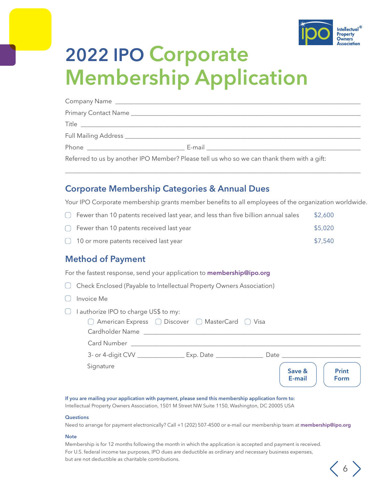

 $\langle 6 \rangle$ 

# 2022 IPO Corporate Membership Application

| E-mail <u>_________________________________</u>                                            |
|--------------------------------------------------------------------------------------------|
| Referred to us by another IPO Member? Please tell us who so we can thank them with a gift: |

\_\_\_\_\_\_\_\_\_\_\_\_\_\_\_\_\_\_\_\_\_\_\_\_\_\_\_\_\_\_\_\_\_\_\_\_\_\_\_\_\_\_\_\_\_\_\_\_\_\_\_\_\_\_\_\_\_\_\_\_\_\_\_\_\_\_\_\_\_\_\_\_\_\_\_\_\_\_\_\_\_\_\_\_\_\_\_\_\_\_\_\_\_\_

### Corporate Membership Categories & Annual Dues

Your IPO Corporate membership grants member benefits to all employees of the organization worldwide.

 $\Box$  Fewer than 10 patents received last year, and less than five billion annual sales \$2,600  $\bigcirc$  Fewer than 10 patents received last year  $\bigcirc$  states are set of \$5,020 10 or more patents received last year \$7,540

### Method of Payment

For the fastest response, send your application to **[membership@ipo.org](mailto:membership%40ipo.org?subject=)** 

- Check Enclosed (Payable to Intellectual Property Owners Association)
- $\bigcap$  Invoice Me
- $\Box$  I authorize IPO to charge US\$ to my:

| Cardholder Name | $\Box$ American Express $\Box$ Discover $\Box$ MasterCard $\Box$ Visa |      |                  |                      |
|-----------------|-----------------------------------------------------------------------|------|------------------|----------------------|
| Card Number     |                                                                       |      |                  |                      |
|                 | $Exp.$ Date $\_\_$                                                    | Date |                  |                      |
| Signature       |                                                                       |      | Save &<br>E-mail | <b>Print</b><br>Form |

#### If you are mailing your application with payment, please send this membership application form to:

Intellectual Property Owners Association, 1501 M Street NW Suite 1150, Washington, DC 20005 USA

#### **Questions**

Need to arrange for payment electronically? Call +1 (202) 507-4500 or e-mail our membership team at membership@ipo.org

#### **Note**

Membership is for 12 months following the month in which the application is accepted and payment is received. For U.S. federal income tax purposes, IPO dues are deductible as ordinary and necessary business expenses, but are not deductible as charitable contributions.